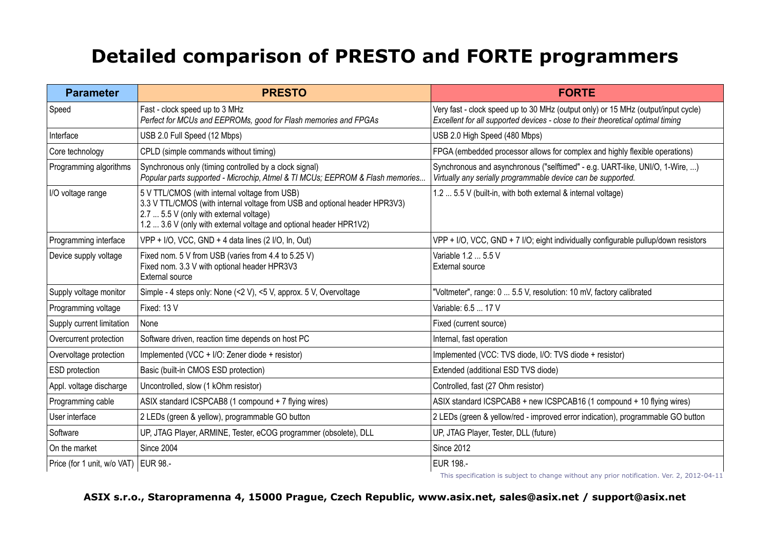## **Detailed comparison of PRESTO and FORTE programmers**

| <b>Parameter</b>                       | <b>PRESTO</b>                                                                                                                                                                                                                                | <b>FORTE</b>                                                                                                                                                         |
|----------------------------------------|----------------------------------------------------------------------------------------------------------------------------------------------------------------------------------------------------------------------------------------------|----------------------------------------------------------------------------------------------------------------------------------------------------------------------|
| Speed                                  | Fast - clock speed up to 3 MHz<br>Perfect for MCUs and EEPROMs, good for Flash memories and FPGAs                                                                                                                                            | Very fast - clock speed up to 30 MHz (output only) or 15 MHz (output/input cycle)<br>Excellent for all supported devices - close to their theoretical optimal timing |
| Interface                              | USB 2.0 Full Speed (12 Mbps)                                                                                                                                                                                                                 | USB 2.0 High Speed (480 Mbps)                                                                                                                                        |
| Core technology                        | CPLD (simple commands without timing)                                                                                                                                                                                                        | FPGA (embedded processor allows for complex and highly flexible operations)                                                                                          |
| Programming algorithms                 | Synchronous only (timing controlled by a clock signal)<br>Popular parts supported - Microchip, Atmel & TI MCUs; EEPROM & Flash memories                                                                                                      | Synchronous and asynchronous ("selftimed" - e.g. UART-like, UNI/O, 1-Wire, )<br>Virtually any serially programmable device can be supported.                         |
| I/O voltage range                      | 5 V TTL/CMOS (with internal voltage from USB)<br>3.3 V TTL/CMOS (with internal voltage from USB and optional header HPR3V3)<br>2.7  5.5 V (only with external voltage)<br>1.2  3.6 V (only with external voltage and optional header HPR1V2) | 1.2  5.5 V (built-in, with both external & internal voltage)                                                                                                         |
| Programming interface                  | VPP + I/O, VCC, GND + 4 data lines (2 I/O, In, Out)                                                                                                                                                                                          | VPP + I/O, VCC, GND + 7 I/O; eight individually configurable pullup/down resistors                                                                                   |
| Device supply voltage                  | Fixed nom. 5 V from USB (varies from 4.4 to 5.25 V)<br>Fixed nom. 3.3 V with optional header HPR3V3<br><b>External source</b>                                                                                                                | Variable 1.2  5.5 V<br>External source                                                                                                                               |
| Supply voltage monitor                 | Simple - 4 steps only: None (<2 V), <5 V, approx. 5 V, Overvoltage                                                                                                                                                                           | "Voltmeter", range: 0  5.5 V, resolution: 10 mV, factory calibrated                                                                                                  |
| Programming voltage                    | Fixed: 13 V                                                                                                                                                                                                                                  | Variable: 6.5  17 V                                                                                                                                                  |
| Supply current limitation              | None                                                                                                                                                                                                                                         | Fixed (current source)                                                                                                                                               |
| Overcurrent protection                 | Software driven, reaction time depends on host PC                                                                                                                                                                                            | Internal, fast operation                                                                                                                                             |
| Overvoltage protection                 | Implemented (VCC + I/O: Zener diode + resistor)                                                                                                                                                                                              | Implemented (VCC: TVS diode, I/O: TVS diode + resistor)                                                                                                              |
| ESD protection                         | Basic (built-in CMOS ESD protection)                                                                                                                                                                                                         | Extended (additional ESD TVS diode)                                                                                                                                  |
| Appl. voltage discharge                | Uncontrolled, slow (1 kOhm resistor)                                                                                                                                                                                                         | Controlled, fast (27 Ohm resistor)                                                                                                                                   |
| Programming cable                      | ASIX standard ICSPCAB8 (1 compound + 7 flying wires)                                                                                                                                                                                         | ASIX standard ICSPCAB8 + new ICSPCAB16 (1 compound + 10 flying wires)                                                                                                |
| User interface                         | 2 LEDs (green & yellow), programmable GO button                                                                                                                                                                                              | 2 LEDs (green & yellow/red - improved error indication), programmable GO button                                                                                      |
| Software                               | UP, JTAG Player, ARMINE, Tester, eCOG programmer (obsolete), DLL                                                                                                                                                                             | UP, JTAG Player, Tester, DLL (future)                                                                                                                                |
| On the market                          | <b>Since 2004</b>                                                                                                                                                                                                                            | <b>Since 2012</b>                                                                                                                                                    |
| Price (for 1 unit, w/o VAT)   EUR 98.- |                                                                                                                                                                                                                                              | <b>EUR 198.-</b>                                                                                                                                                     |

This specification is subject to change without any prior notification. Ver. 2, 2012-04-11

## **ASIX s.r.o., Staropramenna 4, 15000 Prague, Czech Republic, www.asix.net, sales@asix.net / support@asix.net**